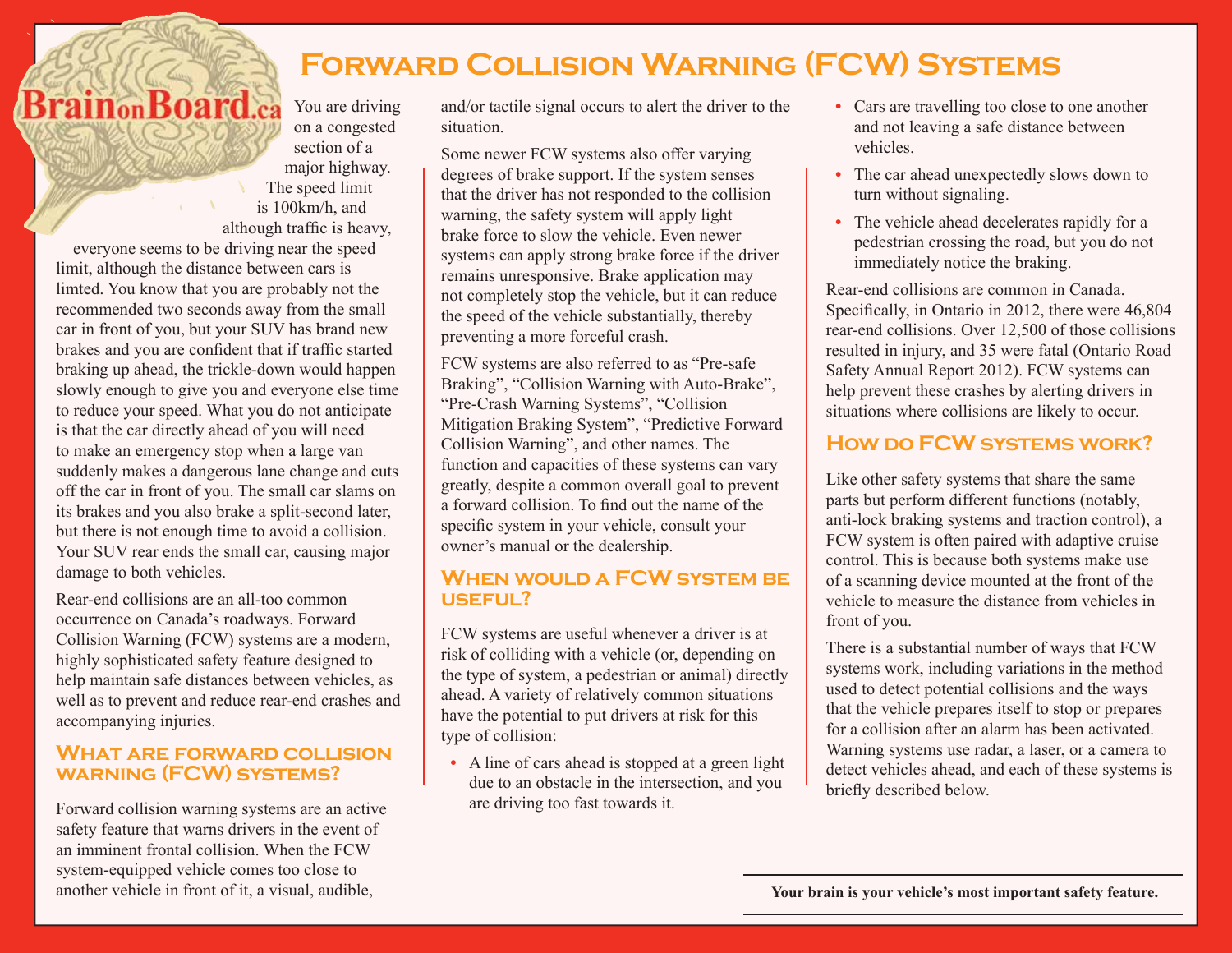# **Forward Collision Warning (FCW) Systems**

**BrainonBoard.ca** You are driving on a congested section of a major highway. The speed limit is 100km/h, and although traffic is heavy,

everyone seems to be driving near the speed limit, although the distance between cars is limted. You know that you are probably not the recommended two seconds away from the small car in front of you, but your SUV has brand new brakes and you are confident that if traffic started braking up ahead, the trickle-down would happen slowly enough to give you and everyone else time to reduce your speed. What you do not anticipate is that the car directly ahead of you will need to make an emergency stop when a large van suddenly makes a dangerous lane change and cuts off the car in front of you. The small car slams on its brakes and you also brake a split-second later, but there is not enough time to avoid a collision. Your SUV rear ends the small car, causing major damage to both vehicles.

Rear-end collisions are an all-too common occurrence on Canada's roadways. Forward Collision Warning (FCW) systems are a modern, highly sophisticated safety feature designed to help maintain safe distances between vehicles, as well as to prevent and reduce rear-end crashes and accompanying injuries.

# **What are forward collision warning (FCW) systems?**

Forward collision warning systems are an active safety feature that warns drivers in the event of an imminent frontal collision. When the FCW system-equipped vehicle comes too close to another vehicle in front of it, a visual, audible,

and/or tactile signal occurs to alert the driver to the situation.

Some newer FCW systems also offer varying degrees of brake support. If the system senses that the driver has not responded to the collision warning, the safety system will apply light brake force to slow the vehicle. Even newer systems can apply strong brake force if the driver remains unresponsive. Brake application may not completely stop the vehicle, but it can reduce the speed of the vehicle substantially, thereby preventing a more forceful crash.

FCW systems are also referred to as "Pre-safe Braking", "Collision Warning with Auto-Brake", "Pre-Crash Warning Systems", "Collision Mitigation Braking System", "Predictive Forward Collision Warning", and other names. The function and capacities of these systems can vary greatly, despite a common overall goal to prevent a forward collision. To find out the name of the specific system in your vehicle, consult your owner's manual or the dealership.

# **When would a FCW system be useful?**

FCW systems are useful whenever a driver is at risk of colliding with a vehicle (or, depending on the type of system, a pedestrian or animal) directly ahead. A variety of relatively common situations have the potential to put drivers at risk for this type of collision:

**•** A line of cars ahead is stopped at a green light due to an obstacle in the intersection, and you are driving too fast towards it.

- **•** Cars are travelling too close to one another and not leaving a safe distance between vehicles.
- The car ahead unexpectedly slows down to turn without signaling.
- **•** The vehicle ahead decelerates rapidly for a pedestrian crossing the road, but you do not immediately notice the braking.

Rear-end collisions are common in Canada. Specifically, in Ontario in 2012, there were 46,804 rear-end collisions. Over 12,500 of those collisions resulted in injury, and 35 were fatal (Ontario Road Safety Annual Report 2012). FCW systems can help prevent these crashes by alerting drivers in situations where collisions are likely to occur.

# **How do FCW systems work?**

Like other safety systems that share the same parts but perform different functions (notably, anti-lock braking systems and traction control), a FCW system is often paired with adaptive cruise control. This is because both systems make use of a scanning device mounted at the front of the vehicle to measure the distance from vehicles in front of you.

There is a substantial number of ways that FCW systems work, including variations in the method used to detect potential collisions and the ways that the vehicle prepares itself to stop or prepares for a collision after an alarm has been activated. Warning systems use radar, a laser, or a camera to detect vehicles ahead, and each of these systems is briefly described below.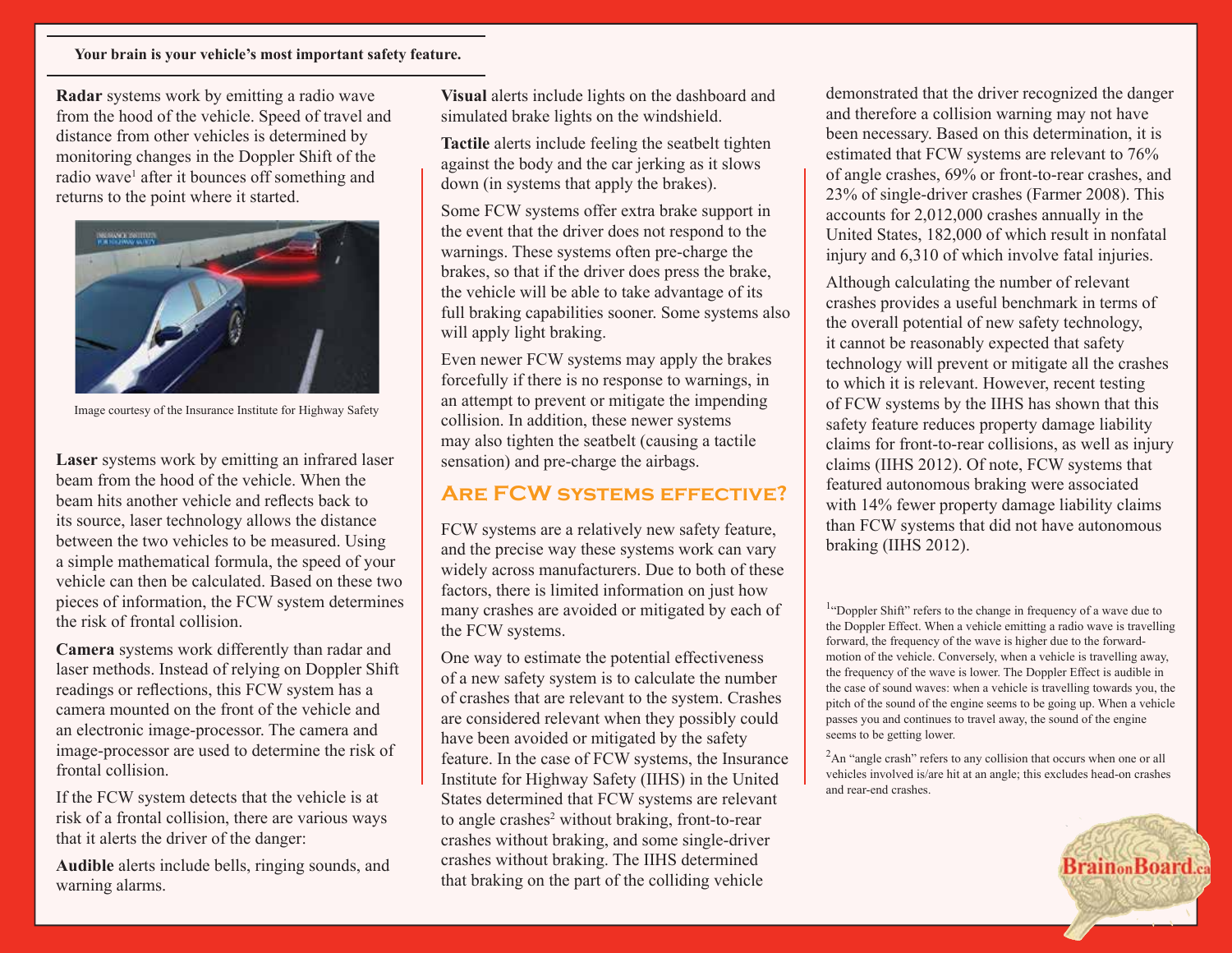#### **Your brain is your vehicle's most important safety feature.**

**Radar** systems work by emitting a radio wave from the hood of the vehicle. Speed of travel and distance from other vehicles is determined by monitoring changes in the Doppler Shift of the radio wave<sup>1</sup> after it bounces off something and returns to the point where it started.



Image courtesy of the Insurance Institute for Highway Safety

**Laser** systems work by emitting an infrared laser beam from the hood of the vehicle. When the beam hits another vehicle and reflects back to its source, laser technology allows the distance between the two vehicles to be measured. Using a simple mathematical formula, the speed of your vehicle can then be calculated. Based on these two pieces of information, the FCW system determines the risk of frontal collision.

**Camera** systems work differently than radar and laser methods. Instead of relying on Doppler Shift readings or reflections, this FCW system has a camera mounted on the front of the vehicle and an electronic image-processor. The camera and image-processor are used to determine the risk of frontal collision.

If the FCW system detects that the vehicle is at risk of a frontal collision, there are various ways that it alerts the driver of the danger:

**Audible** alerts include bells, ringing sounds, and warning alarms.

**Visual** alerts include lights on the dashboard and simulated brake lights on the windshield.

**Tactile** alerts include feeling the seatbelt tighten against the body and the car jerking as it slows down (in systems that apply the brakes).

Some FCW systems offer extra brake support in the event that the driver does not respond to the warnings. These systems often pre-charge the brakes, so that if the driver does press the brake, the vehicle will be able to take advantage of its full braking capabilities sooner. Some systems also will apply light braking.

Even newer FCW systems may apply the brakes forcefully if there is no response to warnings, in an attempt to prevent or mitigate the impending collision. In addition, these newer systems may also tighten the seatbelt (causing a tactile sensation) and pre-charge the airbags.

# **Are FCW systems effective?**

FCW systems are a relatively new safety feature, and the precise way these systems work can vary widely across manufacturers. Due to both of these factors, there is limited information on just how many crashes are avoided or mitigated by each of the FCW systems.

One way to estimate the potential effectiveness of a new safety system is to calculate the number of crashes that are relevant to the system. Crashes are considered relevant when they possibly could have been avoided or mitigated by the safety feature. In the case of FCW systems, the Insurance Institute for Highway Safety (IIHS) in the United States determined that FCW systems are relevant to angle crashes<sup>2</sup> without braking, front-to-rear crashes without braking, and some single-driver crashes without braking. The IIHS determined that braking on the part of the colliding vehicle

demonstrated that the driver recognized the danger and therefore a collision warning may not have been necessary. Based on this determination, it is estimated that FCW systems are relevant to 76% of angle crashes, 69% or front-to-rear crashes, and 23% of single-driver crashes (Farmer 2008). This accounts for 2,012,000 crashes annually in the United States, 182,000 of which result in nonfatal injury and 6,310 of which involve fatal injuries.

Although calculating the number of relevant crashes provides a useful benchmark in terms of the overall potential of new safety technology, it cannot be reasonably expected that safety technology will prevent or mitigate all the crashes to which it is relevant. However, recent testing of FCW systems by the IIHS has shown that this safety feature reduces property damage liability claims for front-to-rear collisions, as well as injury claims (IIHS 2012). Of note, FCW systems that featured autonomous braking were associated with 14% fewer property damage liability claims than FCW systems that did not have autonomous braking (IIHS 2012).

<sup>1</sup>"Doppler Shift" refers to the change in frequency of a wave due to the Doppler Effect. When a vehicle emitting a radio wave is travelling forward, the frequency of the wave is higher due to the forwardmotion of the vehicle. Conversely, when a vehicle is travelling away, the frequency of the wave is lower. The Doppler Effect is audible in the case of sound waves: when a vehicle is travelling towards you, the pitch of the sound of the engine seems to be going up. When a vehicle passes you and continues to travel away, the sound of the engine seems to be getting lower.

<sup>2</sup>An "angle crash" refers to any collision that occurs when one or all vehicles involved is/are hit at an angle; this excludes head-on crashes and rear-end crashes.

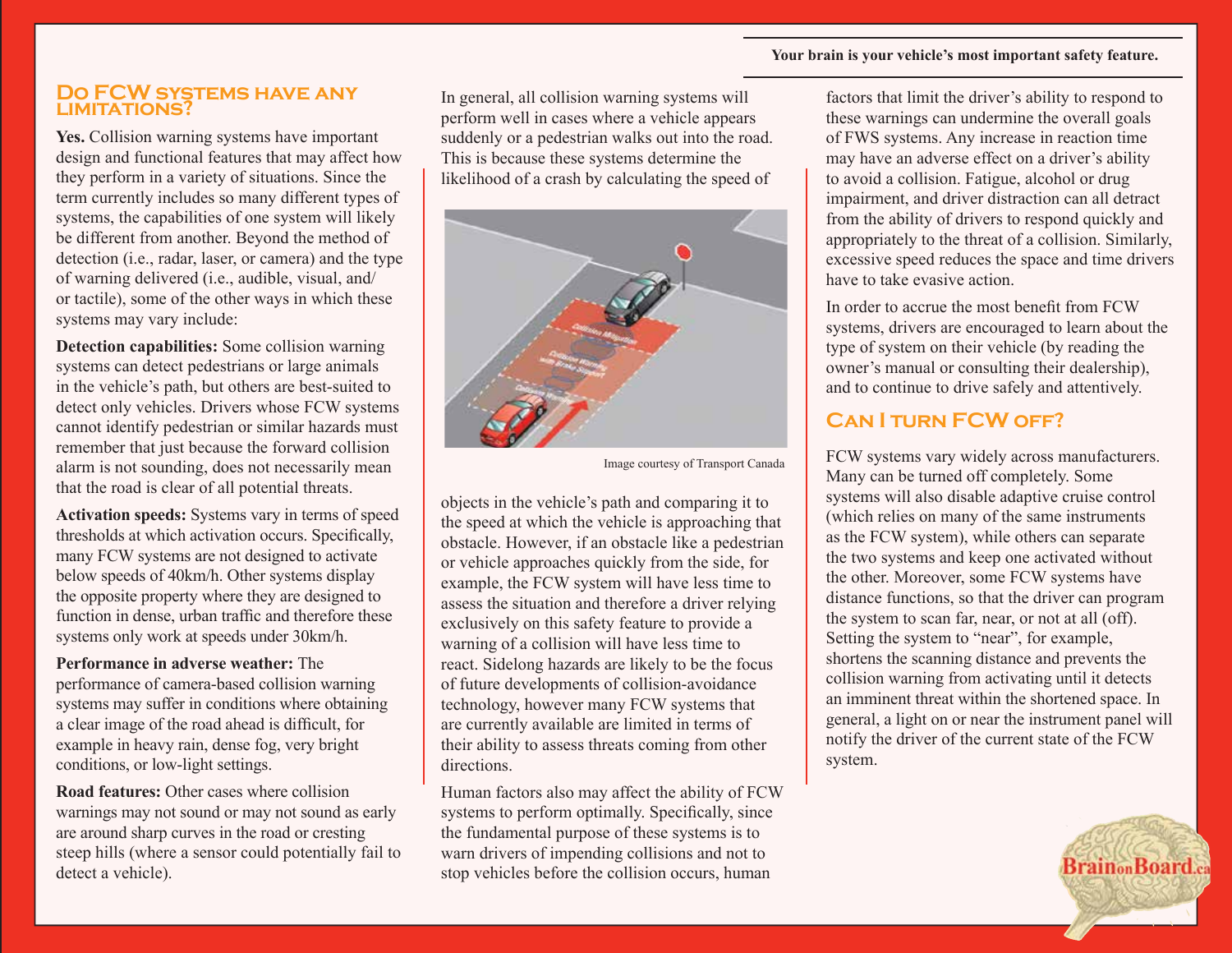#### **Your brain is your vehicle's most important safety feature.**

#### **Do FCW systems have any limitations?**

**Yes.** Collision warning systems have important design and functional features that may affect how they perform in a variety of situations. Since the term currently includes so many different types of systems, the capabilities of one system will likely be different from another. Beyond the method of detection (i.e., radar, laser, or camera) and the type of warning delivered (i.e., audible, visual, and/ or tactile), some of the other ways in which these systems may vary include:

**Detection capabilities:** Some collision warning systems can detect pedestrians or large animals in the vehicle's path, but others are best-suited to detect only vehicles. Drivers whose FCW systems cannot identify pedestrian or similar hazards must remember that just because the forward collision alarm is not sounding, does not necessarily mean that the road is clear of all potential threats.

**Activation speeds:** Systems vary in terms of speed thresholds at which activation occurs. Specifically, many FCW systems are not designed to activate below speeds of 40km/h. Other systems display the opposite property where they are designed to function in dense, urban traffic and therefore these systems only work at speeds under 30km/h.

**Performance in adverse weather:** The performance of camera-based collision warning systems may suffer in conditions where obtaining a clear image of the road ahead is difficult, for example in heavy rain, dense fog, very bright conditions, or low-light settings.

**Road features:** Other cases where collision warnings may not sound or may not sound as early are around sharp curves in the road or cresting steep hills (where a sensor could potentially fail to detect a vehicle).

In general, all collision warning systems will perform well in cases where a vehicle appears suddenly or a pedestrian walks out into the road. This is because these systems determine the likelihood of a crash by calculating the speed of



Image courtesy of Transport Canada

objects in the vehicle's path and comparing it to the speed at which the vehicle is approaching that obstacle. However, if an obstacle like a pedestrian or vehicle approaches quickly from the side, for example, the FCW system will have less time to assess the situation and therefore a driver relying exclusively on this safety feature to provide a warning of a collision will have less time to react. Sidelong hazards are likely to be the focus of future developments of collision-avoidance technology, however many FCW systems that are currently available are limited in terms of their ability to assess threats coming from other directions.

Human factors also may affect the ability of FCW systems to perform optimally. Specifically, since the fundamental purpose of these systems is to warn drivers of impending collisions and not to stop vehicles before the collision occurs, human

factors that limit the driver's ability to respond to these warnings can undermine the overall goals of FWS systems. Any increase in reaction time may have an adverse effect on a driver's ability to avoid a collision. Fatigue, alcohol or drug impairment, and driver distraction can all detract from the ability of drivers to respond quickly and appropriately to the threat of a collision. Similarly, excessive speed reduces the space and time drivers have to take evasive action.

In order to accrue the most benefit from FCW systems, drivers are encouraged to learn about the type of system on their vehicle (by reading the owner's manual or consulting their dealership), and to continue to drive safely and attentively.

# **Can I turn FCW off?**

FCW systems vary widely across manufacturers. Many can be turned off completely. Some systems will also disable adaptive cruise control (which relies on many of the same instruments as the FCW system), while others can separate the two systems and keep one activated without the other. Moreover, some FCW systems have distance functions, so that the driver can program the system to scan far, near, or not at all (off). Setting the system to "near", for example, shortens the scanning distance and prevents the collision warning from activating until it detects an imminent threat within the shortened space. In general, a light on or near the instrument panel will notify the driver of the current state of the FCW system.